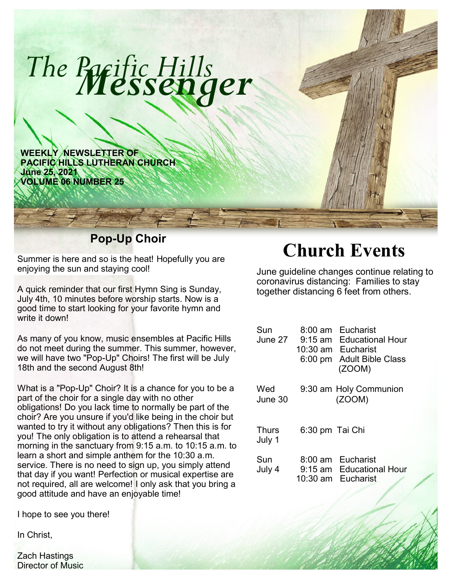

Summer is here and so is the heat! Hopefully you are enjoying the sun and staying cool!

A quick reminder that our first Hymn Sing is Sunday, July 4th, 10 minutes before worship starts. Now is a good time to start looking for your favorite hymn and write it down!

As many of you know, music ensembles at Pacific Hills do not meet during the summer. This summer, however, we will have two "Pop-Up" Choirs! The first will be July 18th and the second August 8th!

What is a "Pop-Up" Choir? It is a chance for you to be a part of the choir for a single day with no other obligations! Do you lack time to normally be part of the choir? Are you unsure if you'd like being in the choir but wanted to try it without any obligations? Then this is for you! The only obligation is to attend a rehearsal that morning in the sanctuary from 9:15 a.m. to 10:15 a.m. to learn a short and simple anthem for the 10:30 a.m. service. There is no need to sign up, you simply attend that day if you want! Perfection or musical expertise are not required, all are welcome! I only ask that you bring a good attitude and have an enjoyable time!

I hope to see you there!

In Christ,

Zach Hastings Director of Music

## **Church Events**

June guideline changes continue relating to coronavirus distancing: Families to stay together distancing 6 feet from others.

| Sun<br>June 27         | $8:00 \text{ am}$<br>$9:15$ am<br>10:30 am<br>$6:00 \text{ pm}$ | Eucharist<br><b>Educational Hour</b><br>Eucharist<br><b>Adult Bible Class</b><br>(ZOOM) |
|------------------------|-----------------------------------------------------------------|-----------------------------------------------------------------------------------------|
| Wed<br>June 30         |                                                                 | 9:30 am Holy Communion<br>(ZOOM)                                                        |
| <b>Thurs</b><br>July 1 | 6:30 pm Tai Chi                                                 |                                                                                         |
| Sun<br>July 4          | 10:30 am                                                        | 8:00 am Eucharist<br>9:15 am Educational Hour<br><b>Eucharist</b>                       |
|                        |                                                                 |                                                                                         |